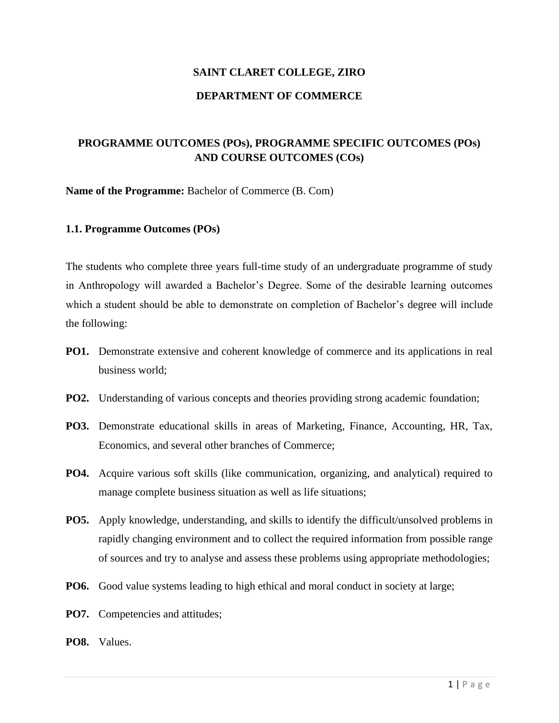# **SAINT CLARET COLLEGE, ZIRO DEPARTMENT OF COMMERCE**

# **PROGRAMME OUTCOMES (POs), PROGRAMME SPECIFIC OUTCOMES (POs) AND COURSE OUTCOMES (COs)**

**Name of the Programme:** Bachelor of Commerce (B. Com)

# **1.1. Programme Outcomes (POs)**

The students who complete three years full-time study of an undergraduate programme of study in Anthropology will awarded a Bachelor's Degree. Some of the desirable learning outcomes which a student should be able to demonstrate on completion of Bachelor's degree will include the following:

- **PO1.** Demonstrate extensive and coherent knowledge of commerce and its applications in real business world;
- **PO2.** Understanding of various concepts and theories providing strong academic foundation;
- **PO3.** Demonstrate educational skills in areas of Marketing, Finance, Accounting, HR, Tax, Economics, and several other branches of Commerce;
- **PO4.** Acquire various soft skills (like communication, organizing, and analytical) required to manage complete business situation as well as life situations;
- **PO5.** Apply knowledge, understanding, and skills to identify the difficult/unsolved problems in rapidly changing environment and to collect the required information from possible range of sources and try to analyse and assess these problems using appropriate methodologies;
- **PO6.** Good value systems leading to high ethical and moral conduct in society at large;
- **PO7.** Competencies and attitudes;
- **PO8.** Values.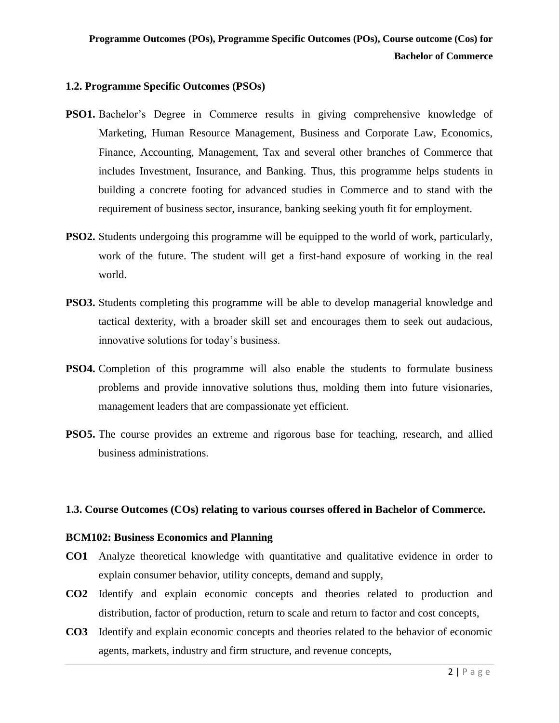# **1.2. Programme Specific Outcomes (PSOs)**

- **PSO1.** Bachelor's Degree in Commerce results in giving comprehensive knowledge of Marketing, Human Resource Management, Business and Corporate Law, Economics, Finance, Accounting, Management, Tax and several other branches of Commerce that includes Investment, Insurance, and Banking. Thus, this programme helps students in building a concrete footing for advanced studies in Commerce and to stand with the requirement of business sector, insurance, banking seeking youth fit for employment.
- **PSO2.** Students undergoing this programme will be equipped to the world of work, particularly, work of the future. The student will get a first-hand exposure of working in the real world.
- **PSO3.** Students completing this programme will be able to develop managerial knowledge and tactical dexterity, with a broader skill set and encourages them to seek out audacious, innovative solutions for today's business.
- **PSO4.** Completion of this programme will also enable the students to formulate business problems and provide innovative solutions thus, molding them into future visionaries, management leaders that are compassionate yet efficient.
- **PSO5.** The course provides an extreme and rigorous base for teaching, research, and allied business administrations.

# **1.3. Course Outcomes (COs) relating to various courses offered in Bachelor of Commerce.**

# **BCM102: Business Economics and Planning**

- **CO1** Analyze theoretical knowledge with quantitative and qualitative evidence in order to explain consumer behavior, utility concepts, demand and supply,
- **CO2** Identify and explain economic concepts and theories related to production and distribution, factor of production, return to scale and return to factor and cost concepts,
- **CO3** Identify and explain economic concepts and theories related to the behavior of economic agents, markets, industry and firm structure, and revenue concepts,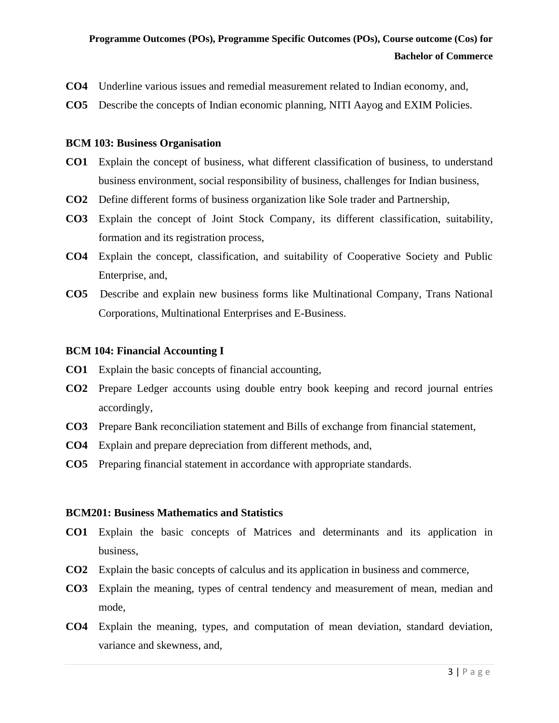- **CO4** Underline various issues and remedial measurement related to Indian economy, and,
- **CO5** Describe the concepts of Indian economic planning, NITI Aayog and EXIM Policies.

# **BCM 103: Business Organisation**

- **CO1** Explain the concept of business, what different classification of business, to understand business environment, social responsibility of business, challenges for Indian business,
- **CO2** Define different forms of business organization like Sole trader and Partnership,
- **CO3** Explain the concept of Joint Stock Company, its different classification, suitability, formation and its registration process,
- **CO4** Explain the concept, classification, and suitability of Cooperative Society and Public Enterprise, and,
- **CO5** Describe and explain new business forms like Multinational Company, Trans National Corporations, Multinational Enterprises and E-Business.

# **BCM 104: Financial Accounting I**

- **CO1** Explain the basic concepts of financial accounting,
- **CO2** Prepare Ledger accounts using double entry book keeping and record journal entries accordingly,
- **CO3** Prepare Bank reconciliation statement and Bills of exchange from financial statement,
- **CO4** Explain and prepare depreciation from different methods, and,
- **CO5** Preparing financial statement in accordance with appropriate standards.

# **BCM201: Business Mathematics and Statistics**

- **CO1** Explain the basic concepts of Matrices and determinants and its application in business,
- **CO2** Explain the basic concepts of calculus and its application in business and commerce,
- **CO3** Explain the meaning, types of central tendency and measurement of mean, median and mode,
- **CO4** Explain the meaning, types, and computation of mean deviation, standard deviation, variance and skewness, and,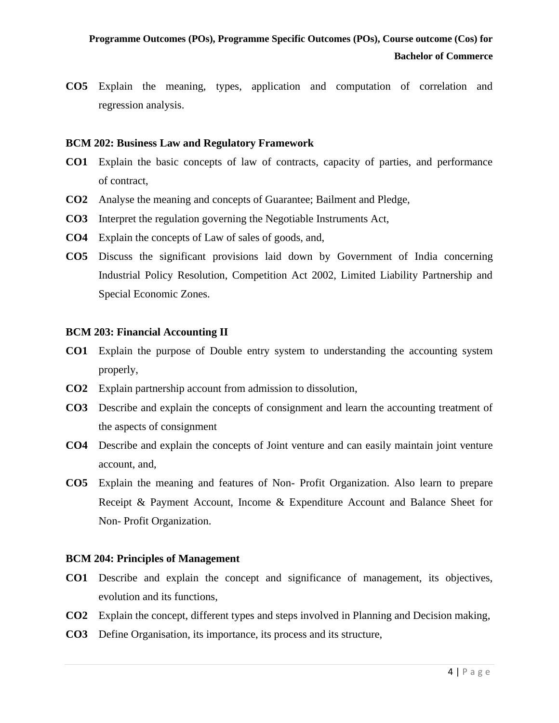**CO5** Explain the meaning, types, application and computation of correlation and regression analysis.

# **BCM 202: Business Law and Regulatory Framework**

- **CO1** Explain the basic concepts of law of contracts, capacity of parties, and performance of contract,
- **CO2** Analyse the meaning and concepts of Guarantee; Bailment and Pledge,
- **CO3** Interpret the regulation governing the Negotiable Instruments Act,
- **CO4** Explain the concepts of Law of sales of goods, and,
- **CO5** Discuss the significant provisions laid down by Government of India concerning Industrial Policy Resolution, Competition Act 2002, Limited Liability Partnership and Special Economic Zones.

# **BCM 203: Financial Accounting II**

- **CO1** Explain the purpose of Double entry system to understanding the accounting system properly,
- **CO2** Explain partnership account from admission to dissolution,
- **CO3** Describe and explain the concepts of consignment and learn the accounting treatment of the aspects of consignment
- **CO4** Describe and explain the concepts of Joint venture and can easily maintain joint venture account, and,
- **CO5** Explain the meaning and features of Non- Profit Organization. Also learn to prepare Receipt & Payment Account, Income & Expenditure Account and Balance Sheet for Non- Profit Organization.

# **BCM 204: Principles of Management**

- **CO1** Describe and explain the concept and significance of management, its objectives, evolution and its functions,
- **CO2** Explain the concept, different types and steps involved in Planning and Decision making,
- **CO3** Define Organisation, its importance, its process and its structure,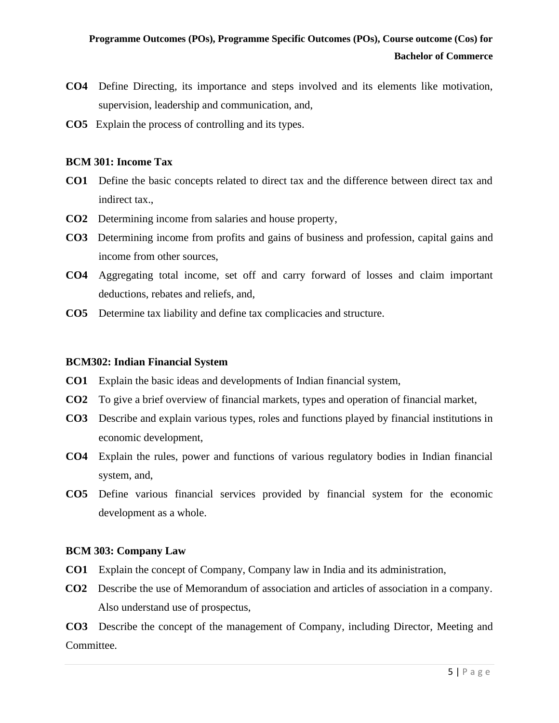- **CO4** Define Directing, its importance and steps involved and its elements like motivation, supervision, leadership and communication, and,
- **CO5** Explain the process of controlling and its types.

# **BCM 301: Income Tax**

- **CO1** Define the basic concepts related to direct tax and the difference between direct tax and indirect tax.,
- **CO2** Determining income from salaries and house property,
- **CO3** Determining income from profits and gains of business and profession, capital gains and income from other sources,
- **CO4** Aggregating total income, set off and carry forward of losses and claim important deductions, rebates and reliefs, and,
- **CO5** Determine tax liability and define tax complicacies and structure.

# **BCM302: Indian Financial System**

- **CO1** Explain the basic ideas and developments of Indian financial system,
- **CO2** To give a brief overview of financial markets, types and operation of financial market,
- **CO3** Describe and explain various types, roles and functions played by financial institutions in economic development,
- **CO4** Explain the rules, power and functions of various regulatory bodies in Indian financial system, and,
- **CO5** Define various financial services provided by financial system for the economic development as a whole.

# **BCM 303: Company Law**

- **CO1** Explain the concept of Company, Company law in India and its administration,
- **CO2** Describe the use of Memorandum of association and articles of association in a company. Also understand use of prospectus,

**CO3** Describe the concept of the management of Company, including Director, Meeting and Committee.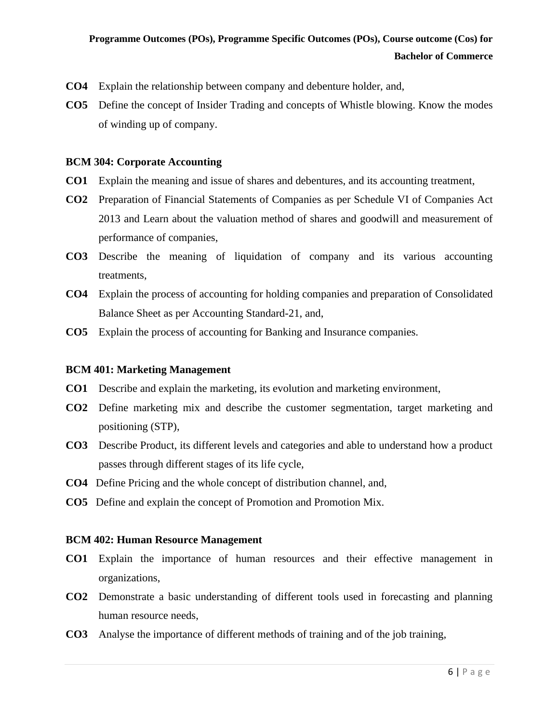- **CO4** Explain the relationship between company and debenture holder, and,
- **CO5** Define the concept of Insider Trading and concepts of Whistle blowing. Know the modes of winding up of company.

# **BCM 304: Corporate Accounting**

- **CO1** Explain the meaning and issue of shares and debentures, and its accounting treatment,
- **CO2** Preparation of Financial Statements of Companies as per Schedule VI of Companies Act 2013 and Learn about the valuation method of shares and goodwill and measurement of performance of companies,
- **CO3** Describe the meaning of liquidation of company and its various accounting treatments,
- **CO4** Explain the process of accounting for holding companies and preparation of Consolidated Balance Sheet as per Accounting Standard-21, and,
- **CO5** Explain the process of accounting for Banking and Insurance companies.

# **BCM 401: Marketing Management**

- **CO1** Describe and explain the marketing, its evolution and marketing environment,
- **CO2** Define marketing mix and describe the customer segmentation, target marketing and positioning (STP),
- **CO3** Describe Product, its different levels and categories and able to understand how a product passes through different stages of its life cycle,
- **CO4** Define Pricing and the whole concept of distribution channel, and,
- **CO5** Define and explain the concept of Promotion and Promotion Mix.

# **BCM 402: Human Resource Management**

- **CO1** Explain the importance of human resources and their effective management in organizations,
- **CO2** Demonstrate a basic understanding of different tools used in forecasting and planning human resource needs,
- **CO3** Analyse the importance of different methods of training and of the job training,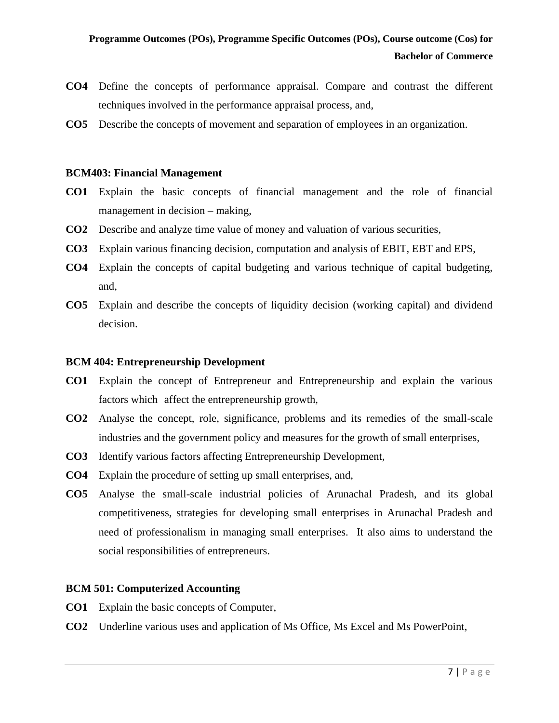- **CO4** Define the concepts of performance appraisal. Compare and contrast the different techniques involved in the performance appraisal process, and,
- **CO5** Describe the concepts of movement and separation of employees in an organization.

#### **BCM403: Financial Management**

- **CO1** Explain the basic concepts of financial management and the role of financial management in decision – making,
- **CO2** Describe and analyze time value of money and valuation of various securities,
- **CO3** Explain various financing decision, computation and analysis of EBIT, EBT and EPS,
- **CO4** Explain the concepts of capital budgeting and various technique of capital budgeting, and,
- **CO5** Explain and describe the concepts of liquidity decision (working capital) and dividend decision.

#### **BCM 404: Entrepreneurship Development**

- **CO1** Explain the concept of Entrepreneur and Entrepreneurship and explain the various factors which affect the entrepreneurship growth,
- **CO2** Analyse the concept, role, significance, problems and its remedies of the small-scale industries and the government policy and measures for the growth of small enterprises,
- **CO3** Identify various factors affecting Entrepreneurship Development,
- **CO4** Explain the procedure of setting up small enterprises, and,
- **CO5** Analyse the small-scale industrial policies of Arunachal Pradesh, and its global competitiveness, strategies for developing small enterprises in Arunachal Pradesh and need of professionalism in managing small enterprises. It also aims to understand the social responsibilities of entrepreneurs.

# **BCM 501: Computerized Accounting**

- **CO1** Explain the basic concepts of Computer,
- **CO2** Underline various uses and application of Ms Office, Ms Excel and Ms PowerPoint,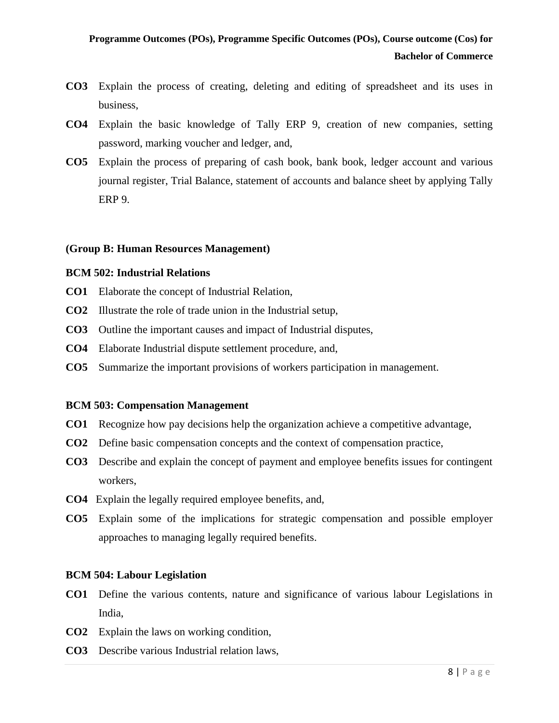- **CO3** Explain the process of creating, deleting and editing of spreadsheet and its uses in business,
- **CO4** Explain the basic knowledge of Tally ERP 9, creation of new companies, setting password, marking voucher and ledger, and,
- **CO5** Explain the process of preparing of cash book, bank book, ledger account and various journal register, Trial Balance, statement of accounts and balance sheet by applying Tally ERP 9.

# **(Group B: Human Resources Management)**

# **BCM 502: Industrial Relations**

- **CO1** Elaborate the concept of Industrial Relation,
- **CO2** Illustrate the role of trade union in the Industrial setup,
- **CO3** Outline the important causes and impact of Industrial disputes,
- **CO4** Elaborate Industrial dispute settlement procedure, and,
- **CO5** Summarize the important provisions of workers participation in management.

# **BCM 503: Compensation Management**

- **CO1** Recognize how pay decisions help the organization achieve a competitive advantage,
- **CO2** Define basic compensation concepts and the context of compensation practice,
- **CO3** Describe and explain the concept of payment and employee benefits issues for contingent workers,
- **CO4** Explain the legally required employee benefits, and,
- **CO5** Explain some of the implications for strategic compensation and possible employer approaches to managing legally required benefits.

# **BCM 504: Labour Legislation**

- **CO1** Define the various contents, nature and significance of various labour Legislations in India,
- **CO2** Explain the laws on working condition,
- **CO3** Describe various Industrial relation laws,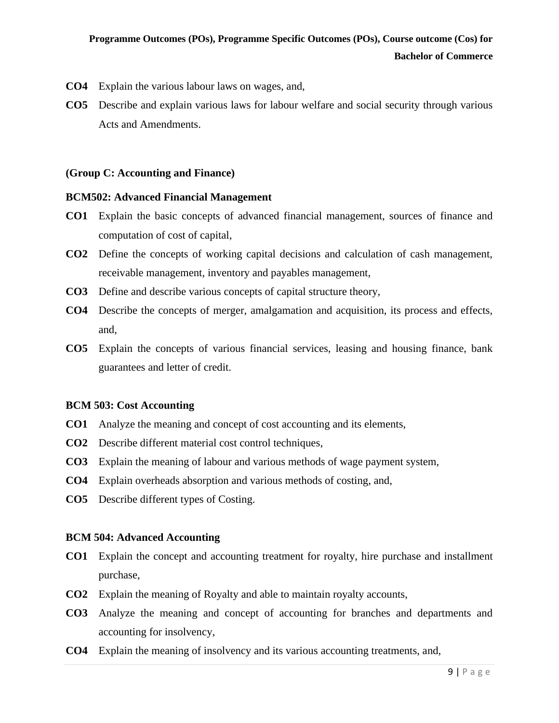- **CO4** Explain the various labour laws on wages, and,
- **CO5** Describe and explain various laws for labour welfare and social security through various Acts and Amendments.

# **(Group C: Accounting and Finance)**

# **BCM502: Advanced Financial Management**

- **CO1** Explain the basic concepts of advanced financial management, sources of finance and computation of cost of capital,
- **CO2** Define the concepts of working capital decisions and calculation of cash management, receivable management, inventory and payables management,
- **CO3** Define and describe various concepts of capital structure theory,
- **CO4** Describe the concepts of merger, amalgamation and acquisition, its process and effects, and,
- **CO5** Explain the concepts of various financial services, leasing and housing finance, bank guarantees and letter of credit.

# **BCM 503: Cost Accounting**

- **CO1** Analyze the meaning and concept of cost accounting and its elements,
- **CO2** Describe different material cost control techniques,
- **CO3** Explain the meaning of labour and various methods of wage payment system,
- **CO4** Explain overheads absorption and various methods of costing, and,
- **CO5** Describe different types of Costing.

# **BCM 504: Advanced Accounting**

- **CO1** Explain the concept and accounting treatment for royalty, hire purchase and installment purchase,
- **CO2** Explain the meaning of Royalty and able to maintain royalty accounts,
- **CO3** Analyze the meaning and concept of accounting for branches and departments and accounting for insolvency,
- **CO4** Explain the meaning of insolvency and its various accounting treatments, and,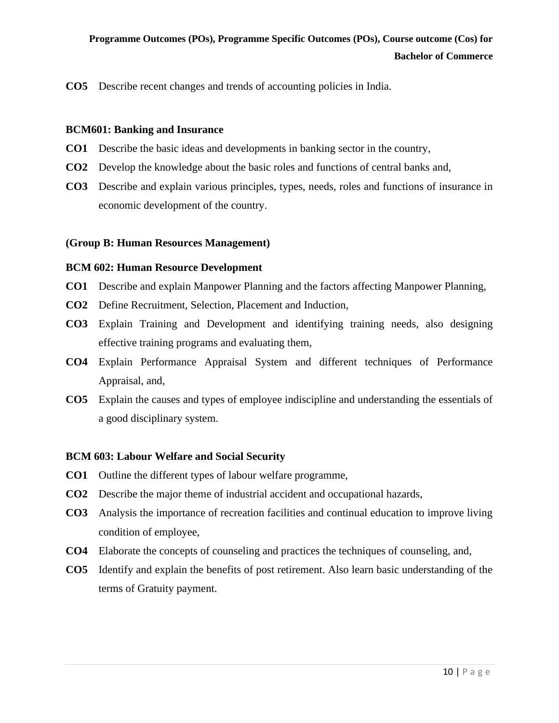**CO5** Describe recent changes and trends of accounting policies in India.

# **BCM601: Banking and Insurance**

- **CO1** Describe the basic ideas and developments in banking sector in the country,
- **CO2** Develop the knowledge about the basic roles and functions of central banks and,
- **CO3** Describe and explain various principles, types, needs, roles and functions of insurance in economic development of the country.

# **(Group B: Human Resources Management)**

# **BCM 602: Human Resource Development**

- **CO1** Describe and explain Manpower Planning and the factors affecting Manpower Planning,
- **CO2** Define Recruitment, Selection, Placement and Induction,
- **CO3** Explain Training and Development and identifying training needs, also designing effective training programs and evaluating them,
- **CO4** Explain Performance Appraisal System and different techniques of Performance Appraisal, and,
- **CO5** Explain the causes and types of employee indiscipline and understanding the essentials of a good disciplinary system.

# **BCM 603: Labour Welfare and Social Security**

- **CO1** Outline the different types of labour welfare programme,
- **CO2** Describe the major theme of industrial accident and occupational hazards,
- **CO3** Analysis the importance of recreation facilities and continual education to improve living condition of employee,
- **CO4** Elaborate the concepts of counseling and practices the techniques of counseling, and,
- **CO5** Identify and explain the benefits of post retirement. Also learn basic understanding of the terms of Gratuity payment.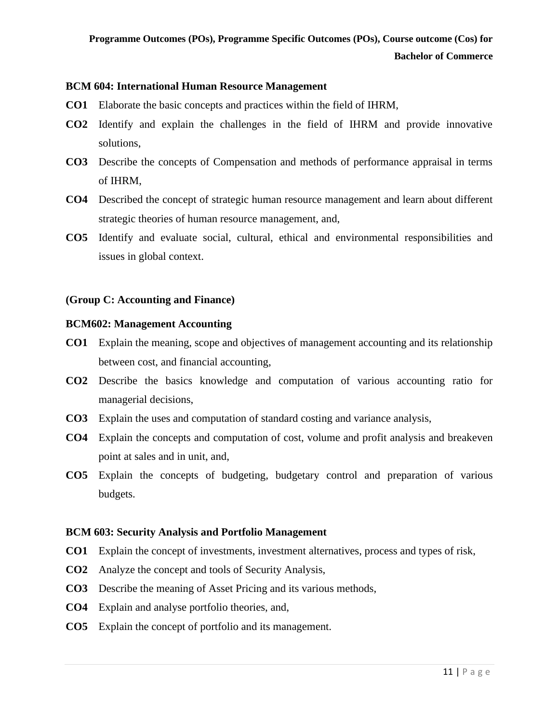# **BCM 604: International Human Resource Management**

- **CO1** Elaborate the basic concepts and practices within the field of IHRM,
- **CO2** Identify and explain the challenges in the field of IHRM and provide innovative solutions,
- **CO3** Describe the concepts of Compensation and methods of performance appraisal in terms of IHRM,
- **CO4** Described the concept of strategic human resource management and learn about different strategic theories of human resource management, and,
- **CO5** Identify and evaluate social, cultural, ethical and environmental responsibilities and issues in global context.

# **(Group C: Accounting and Finance)**

# **BCM602: Management Accounting**

- **CO1** Explain the meaning, scope and objectives of management accounting and its relationship between cost, and financial accounting,
- **CO2** Describe the basics knowledge and computation of various accounting ratio for managerial decisions,
- **CO3** Explain the uses and computation of standard costing and variance analysis,
- **CO4** Explain the concepts and computation of cost, volume and profit analysis and breakeven point at sales and in unit, and,
- **CO5** Explain the concepts of budgeting, budgetary control and preparation of various budgets.

# **BCM 603: Security Analysis and Portfolio Management**

- **CO1** Explain the concept of investments, investment alternatives, process and types of risk,
- **CO2** Analyze the concept and tools of Security Analysis,
- **CO3** Describe the meaning of Asset Pricing and its various methods,
- **CO4** Explain and analyse portfolio theories, and,
- **CO5** Explain the concept of portfolio and its management.